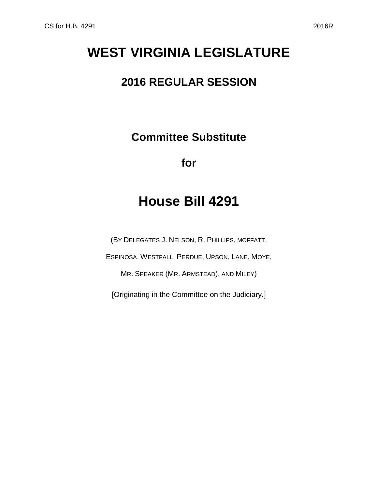# **WEST VIRGINIA LEGISLATURE**

### **2016 REGULAR SESSION**

**Committee Substitute**

**for**

## **House Bill 4291**

(BY DELEGATES J. NELSON, R. PHILLIPS, MOFFATT,

ESPINOSA, WESTFALL, PERDUE, UPSON, LANE, MOYE,

MR. SPEAKER (MR. ARMSTEAD), AND MILEY)

[Originating in the Committee on the Judiciary.]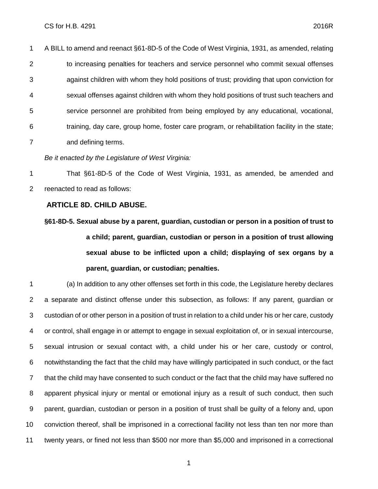A BILL to amend and reenact §61-8D-5 of the Code of West Virginia, 1931, as amended, relating 2 to increasing penalties for teachers and service personnel who commit sexual offenses against children with whom they hold positions of trust; providing that upon conviction for sexual offenses against children with whom they hold positions of trust such teachers and service personnel are prohibited from being employed by any educational, vocational, training, day care, group home, foster care program, or rehabilitation facility in the state; and defining terms.

*Be it enacted by the Legislature of West Virginia:*

 That §61-8D-5 of the Code of West Virginia, 1931, as amended, be amended and reenacted to read as follows:

#### **ARTICLE 8D. CHILD ABUSE.**

**§61-8D-5. Sexual abuse by a parent, guardian, custodian or person in a position of trust to a child; parent, guardian, custodian or person in a position of trust allowing sexual abuse to be inflicted upon a child; displaying of sex organs by a parent, guardian, or custodian; penalties.**

 (a) In addition to any other offenses set forth in this code, the Legislature hereby declares a separate and distinct offense under this subsection, as follows: If any parent, guardian or custodian of or other person in a position of trust in relation to a child under his or her care, custody or control, shall engage in or attempt to engage in sexual exploitation of, or in sexual intercourse, sexual intrusion or sexual contact with, a child under his or her care, custody or control, notwithstanding the fact that the child may have willingly participated in such conduct, or the fact that the child may have consented to such conduct or the fact that the child may have suffered no apparent physical injury or mental or emotional injury as a result of such conduct, then such parent, guardian, custodian or person in a position of trust shall be guilty of a felony and, upon conviction thereof, shall be imprisoned in a correctional facility not less than ten nor more than twenty years, or fined not less than \$500 nor more than \$5,000 and imprisoned in a correctional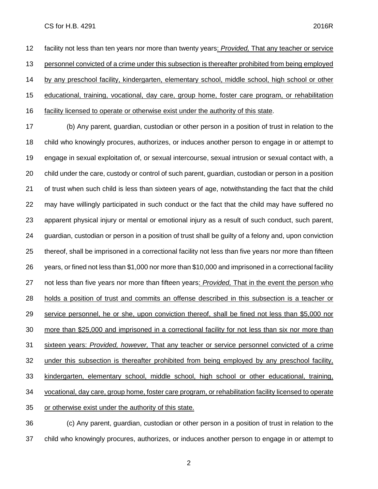#### CS for H.B. 4291 2016R

 facility not less than ten years nor more than twenty years: *Provided,* That any teacher or service personnel convicted of a crime under this subsection is thereafter prohibited from being employed by any preschool facility, kindergarten, elementary school, middle school, high school or other educational, training, vocational, day care, group home, foster care program, or rehabilitation facility licensed to operate or otherwise exist under the authority of this state.

 (b) Any parent, guardian, custodian or other person in a position of trust in relation to the child who knowingly procures, authorizes, or induces another person to engage in or attempt to engage in sexual exploitation of, or sexual intercourse, sexual intrusion or sexual contact with, a child under the care, custody or control of such parent, guardian, custodian or person in a position of trust when such child is less than sixteen years of age, notwithstanding the fact that the child may have willingly participated in such conduct or the fact that the child may have suffered no apparent physical injury or mental or emotional injury as a result of such conduct, such parent, guardian, custodian or person in a position of trust shall be guilty of a felony and, upon conviction thereof, shall be imprisoned in a correctional facility not less than five years nor more than fifteen years, or fined not less than \$1,000 nor more than \$10,000 and imprisoned in a correctional facility not less than five years nor more than fifteen years: *Provided,* That in the event the person who holds a position of trust and commits an offense described in this subsection is a teacher or service personnel, he or she, upon conviction thereof, shall be fined not less than \$5,000 nor more than \$25,000 and imprisoned in a correctional facility for not less than six nor more than sixteen years: *Provided, however,* That any teacher or service personnel convicted of a crime under this subsection is thereafter prohibited from being employed by any preschool facility, kindergarten, elementary school, middle school, high school or other educational, training, vocational, day care, group home, foster care program, or rehabilitation facility licensed to operate or otherwise exist under the authority of this state.

 (c) Any parent, guardian, custodian or other person in a position of trust in relation to the child who knowingly procures, authorizes, or induces another person to engage in or attempt to